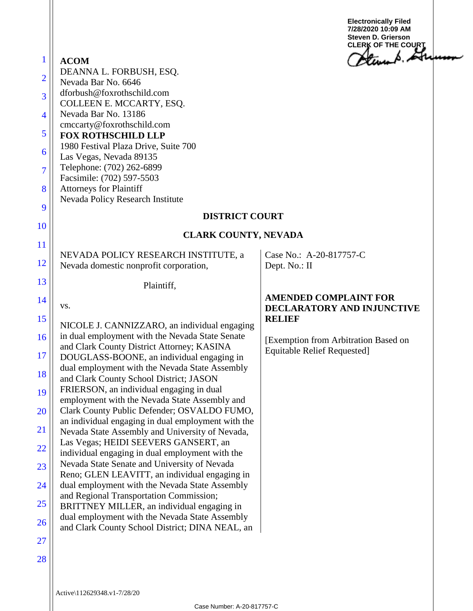**Electronically Filed 7/28/2020 10:09 AM Steven D. Grierson CLERK OF THE COURT**u بوجوب

| $\mathbf{1}$   | <b>ACOM</b>                                                                                           | Stevent Lot                                                                |
|----------------|-------------------------------------------------------------------------------------------------------|----------------------------------------------------------------------------|
| $\overline{2}$ | DEANNA L. FORBUSH, ESQ.<br>Nevada Bar No. 6646                                                        |                                                                            |
| 3              | dforbush@foxrothschild.com                                                                            |                                                                            |
| $\overline{4}$ | COLLEEN E. MCCARTY, ESQ.<br>Nevada Bar No. 13186                                                      |                                                                            |
|                | cmccarty@foxrothschild.com                                                                            |                                                                            |
| 5              | <b>FOX ROTHSCHILD LLP</b><br>1980 Festival Plaza Drive, Suite 700                                     |                                                                            |
| 6              | Las Vegas, Nevada 89135                                                                               |                                                                            |
| $\overline{7}$ | Telephone: (702) 262-6899<br>Facsimile: (702) 597-5503                                                |                                                                            |
| 8              | <b>Attorneys for Plaintiff</b>                                                                        |                                                                            |
| 9              | Nevada Policy Research Institute                                                                      |                                                                            |
|                | <b>DISTRICT COURT</b>                                                                                 |                                                                            |
| <b>10</b>      | <b>CLARK COUNTY, NEVADA</b>                                                                           |                                                                            |
| 11             | NEVADA POLICY RESEARCH INSTITUTE, a                                                                   | Case No.: A-20-817757-C                                                    |
| <sup>12</sup>  | Nevada domestic nonprofit corporation,                                                                | Dept. No.: II                                                              |
| 13             | Plaintiff,                                                                                            |                                                                            |
| 14             | VS.                                                                                                   | <b>AMENDED COMPLAINT FOR</b>                                               |
| 15             |                                                                                                       | DECLARATORY AND INJUNCTIVE<br><b>RELIEF</b>                                |
| 16             | NICOLE J. CANNIZZARO, an individual engaging<br>in dual employment with the Nevada State Senate       |                                                                            |
|                | and Clark County District Attorney; KASINA                                                            | [Exemption from Arbitration Based on<br><b>Equitable Relief Requested]</b> |
| 17             | DOUGLASS-BOONE, an individual engaging in<br>dual employment with the Nevada State Assembly           |                                                                            |
| 18             | and Clark County School District; JASON                                                               |                                                                            |
| 19             | FRIERSON, an individual engaging in dual<br>employment with the Nevada State Assembly and             |                                                                            |
| 20             | Clark County Public Defender; OSVALDO FUMO,                                                           |                                                                            |
| <u>21</u>      | an individual engaging in dual employment with the<br>Nevada State Assembly and University of Nevada, |                                                                            |
| 22             | Las Vegas; HEIDI SEEVERS GANSERT, an                                                                  |                                                                            |
| 23             | individual engaging in dual employment with the<br>Nevada State Senate and University of Nevada       |                                                                            |
|                | Reno; GLEN LEAVITT, an individual engaging in                                                         |                                                                            |
| 24             | dual employment with the Nevada State Assembly<br>and Regional Transportation Commission;             |                                                                            |
| 25             | BRITTNEY MILLER, an individual engaging in                                                            |                                                                            |
| 26             | dual employment with the Nevada State Assembly<br>and Clark County School District; DINA NEAL, an     |                                                                            |
| 27             |                                                                                                       |                                                                            |
| 28             |                                                                                                       |                                                                            |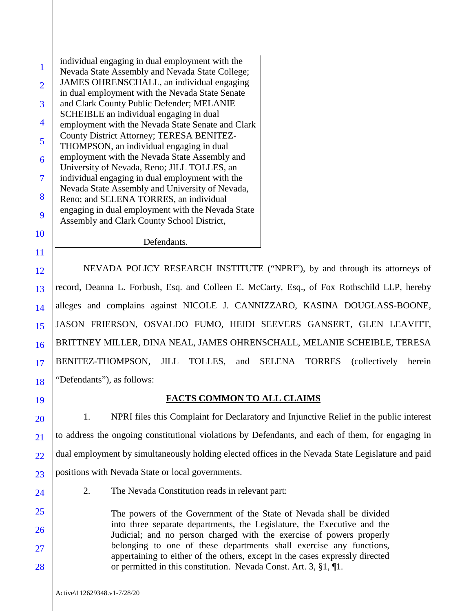1 2 3 4 5 6 7 8 9 10 individual engaging in dual employment with the Nevada State Assembly and Nevada State College; JAMES OHRENSCHALL, an individual engaging in dual employment with the Nevada State Senate and Clark County Public Defender; MELANIE SCHEIBLE an individual engaging in dual employment with the Nevada State Senate and Clark County District Attorney; TERESA BENITEZ-THOMPSON, an individual engaging in dual employment with the Nevada State Assembly and University of Nevada, Reno; JILL TOLLES, an individual engaging in dual employment with the Nevada State Assembly and University of Nevada, Reno; and SELENA TORRES, an individual engaging in dual employment with the Nevada State Assembly and Clark County School District,

Defendants.

NEVADA POLICY RESEARCH INSTITUTE ("NPRI"), by and through its attorneys of record, Deanna L. Forbush, Esq. and Colleen E. McCarty, Esq., of Fox Rothschild LLP, hereby alleges and complains against NICOLE J. CANNIZZARO, KASINA DOUGLASS-BOONE, JASON FRIERSON, OSVALDO FUMO, HEIDI SEEVERS GANSERT, GLEN LEAVITT, BRITTNEY MILLER, DINA NEAL, JAMES OHRENSCHALL, MELANIE SCHEIBLE, TERESA BENITEZ-THOMPSON, JILL TOLLES, and SELENA TORRES (collectively herein "Defendants"), as follows:

19 20

21

22

23

24

25

26

27

28

11

12

13

14

15

16

17

18

## **FACTS COMMON TO ALL CLAIMS**

1. NPRI files this Complaint for Declaratory and Injunctive Relief in the public interest to address the ongoing constitutional violations by Defendants, and each of them, for engaging in dual employment by simultaneously holding elected offices in the Nevada State Legislature and paid positions with Nevada State or local governments.

2. The Nevada Constitution reads in relevant part:

The powers of the Government of the State of Nevada shall be divided into three separate departments, the Legislature, the Executive and the Judicial; and no person charged with the exercise of powers properly belonging to one of these departments shall exercise any functions, appertaining to either of the others, except in the cases expressly directed or permitted in this constitution. Nevada Const. Art. 3, §1, ¶1.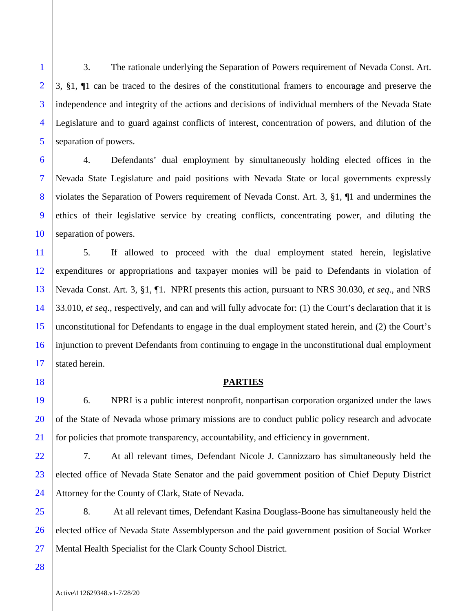3. The rationale underlying the Separation of Powers requirement of Nevada Const. Art. 3, §1, ¶1 can be traced to the desires of the constitutional framers to encourage and preserve the independence and integrity of the actions and decisions of individual members of the Nevada State Legislature and to guard against conflicts of interest, concentration of powers, and dilution of the separation of powers.

4. Defendants' dual employment by simultaneously holding elected offices in the Nevada State Legislature and paid positions with Nevada State or local governments expressly violates the Separation of Powers requirement of Nevada Const. Art. 3, §1, ¶1 and undermines the ethics of their legislative service by creating conflicts, concentrating power, and diluting the separation of powers.

5. If allowed to proceed with the dual employment stated herein, legislative expenditures or appropriations and taxpayer monies will be paid to Defendants in violation of Nevada Const. Art. 3, §1, ¶1. NPRI presents this action, pursuant to NRS 30.030, *et seq*., and NRS 33.010, *et seq*., respectively, and can and will fully advocate for: (1) the Court's declaration that it is unconstitutional for Defendants to engage in the dual employment stated herein, and (2) the Court's injunction to prevent Defendants from continuing to engage in the unconstitutional dual employment stated herein.

## **PARTIES**

6. NPRI is a public interest nonprofit, nonpartisan corporation organized under the laws of the State of Nevada whose primary missions are to conduct public policy research and advocate for policies that promote transparency, accountability, and efficiency in government.

7. At all relevant times, Defendant Nicole J. Cannizzaro has simultaneously held the elected office of Nevada State Senator and the paid government position of Chief Deputy District Attorney for the County of Clark, State of Nevada.

26 8. At all relevant times, Defendant Kasina Douglass-Boone has simultaneously held the elected office of Nevada State Assemblyperson and the paid government position of Social Worker Mental Health Specialist for the Clark County School District.

27

1

2

3

4

5

6

7

8

9

10

11

12

13

14

15

16

17

18

19

20

21

22

23

24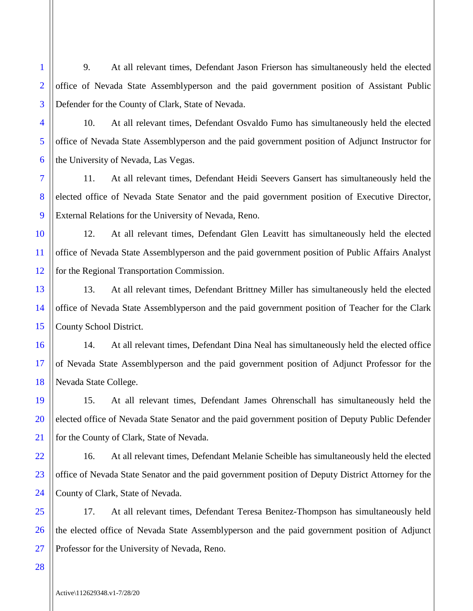9. At all relevant times, Defendant Jason Frierson has simultaneously held the elected office of Nevada State Assemblyperson and the paid government position of Assistant Public Defender for the County of Clark, State of Nevada.

10. At all relevant times, Defendant Osvaldo Fumo has simultaneously held the elected office of Nevada State Assemblyperson and the paid government position of Adjunct Instructor for the University of Nevada, Las Vegas.

7 8 9 11. At all relevant times, Defendant Heidi Seevers Gansert has simultaneously held the elected office of Nevada State Senator and the paid government position of Executive Director, External Relations for the University of Nevada, Reno.

12. At all relevant times, Defendant Glen Leavitt has simultaneously held the elected office of Nevada State Assemblyperson and the paid government position of Public Affairs Analyst for the Regional Transportation Commission.

13. At all relevant times, Defendant Brittney Miller has simultaneously held the elected office of Nevada State Assemblyperson and the paid government position of Teacher for the Clark County School District.

14. At all relevant times, Defendant Dina Neal has simultaneously held the elected office of Nevada State Assemblyperson and the paid government position of Adjunct Professor for the Nevada State College.

15. At all relevant times, Defendant James Ohrenschall has simultaneously held the elected office of Nevada State Senator and the paid government position of Deputy Public Defender for the County of Clark, State of Nevada.

16. At all relevant times, Defendant Melanie Scheible has simultaneously held the elected office of Nevada State Senator and the paid government position of Deputy District Attorney for the County of Clark, State of Nevada.

25 26 27 17. At all relevant times, Defendant Teresa Benitez-Thompson has simultaneously held the elected office of Nevada State Assemblyperson and the paid government position of Adjunct Professor for the University of Nevada, Reno.

1

2

3

4

5

6

10

11

12

13

14

15

16

17

18

19

20

21

22

23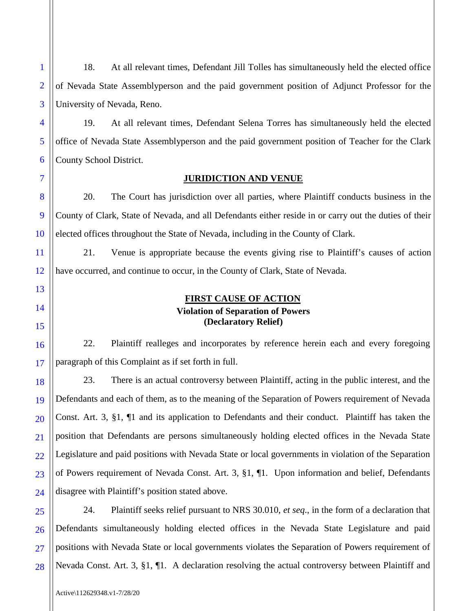18. At all relevant times, Defendant Jill Tolles has simultaneously held the elected office of Nevada State Assemblyperson and the paid government position of Adjunct Professor for the University of Nevada, Reno.

19. At all relevant times, Defendant Selena Torres has simultaneously held the elected office of Nevada State Assemblyperson and the paid government position of Teacher for the Clark County School District.

**JURIDICTION AND VENUE**

20. The Court has jurisdiction over all parties, where Plaintiff conducts business in the County of Clark, State of Nevada, and all Defendants either reside in or carry out the duties of their elected offices throughout the State of Nevada, including in the County of Clark.

21. Venue is appropriate because the events giving rise to Plaintiff's causes of action have occurred, and continue to occur, in the County of Clark, State of Nevada.

## **FIRST CAUSE OF ACTION Violation of Separation of Powers (Declaratory Relief)**

22. Plaintiff realleges and incorporates by reference herein each and every foregoing paragraph of this Complaint as if set forth in full.

23. There is an actual controversy between Plaintiff, acting in the public interest, and the Defendants and each of them, as to the meaning of the Separation of Powers requirement of Nevada Const. Art. 3, §1, ¶1 and its application to Defendants and their conduct. Plaintiff has taken the position that Defendants are persons simultaneously holding elected offices in the Nevada State Legislature and paid positions with Nevada State or local governments in violation of the Separation of Powers requirement of Nevada Const. Art. 3, §1, ¶1. Upon information and belief, Defendants disagree with Plaintiff's position stated above.

24. Plaintiff seeks relief pursuant to NRS 30.010, *et seq*., in the form of a declaration that Defendants simultaneously holding elected offices in the Nevada State Legislature and paid positions with Nevada State or local governments violates the Separation of Powers requirement of Nevada Const. Art. 3, §1, ¶1. A declaration resolving the actual controversy between Plaintiff and

1

2

3

4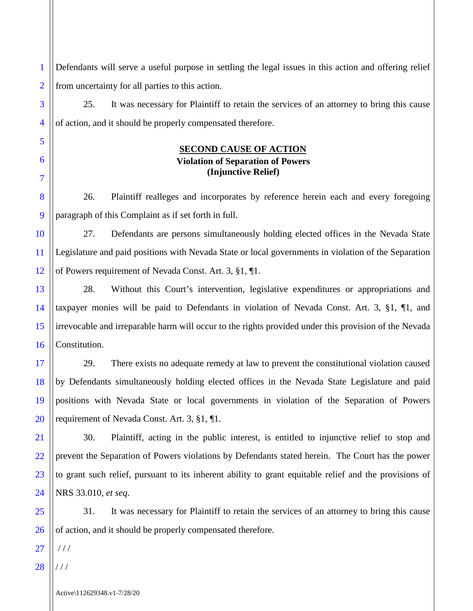2 Defendants will serve a useful purpose in settling the legal issues in this action and offering relief from uncertainty for all parties to this action.

25. It was necessary for Plaintiff to retain the services of an attorney to bring this cause of action, and it should be properly compensated therefore.

## **SECOND CAUSE OF ACTION Violation of Separation of Powers (Injunctive Relief)**

26. Plaintiff realleges and incorporates by reference herein each and every foregoing paragraph of this Complaint as if set forth in full.

27. Defendants are persons simultaneously holding elected offices in the Nevada State Legislature and paid positions with Nevada State or local governments in violation of the Separation of Powers requirement of Nevada Const. Art. 3, §1, ¶1.

28. Without this Court's intervention, legislative expenditures or appropriations and taxpayer monies will be paid to Defendants in violation of Nevada Const. Art. 3, §1, ¶1, and irrevocable and irreparable harm will occur to the rights provided under this provision of the Nevada Constitution.

29. There exists no adequate remedy at law to prevent the constitutional violation caused by Defendants simultaneously holding elected offices in the Nevada State Legislature and paid positions with Nevada State or local governments in violation of the Separation of Powers requirement of Nevada Const. Art. 3, §1, ¶1.

30. Plaintiff, acting in the public interest, is entitled to injunctive relief to stop and prevent the Separation of Powers violations by Defendants stated herein. The Court has the power to grant such relief, pursuant to its inherent ability to grant equitable relief and the provisions of NRS 33.010, *et seq*.

31. It was necessary for Plaintiff to retain the services of an attorney to bring this cause of action, and it should be properly compensated therefore.

27  $//$ 

/ / /

1

3

4

5

6

7

8

9

10

11

12

13

14

15

16

17

18

19

20

21

22

23

24

25

26